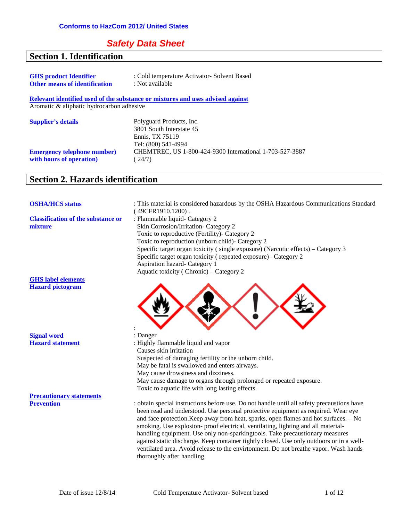# **Safety Data Sheet**

# **Section 1. Identification**

| <b>GHS</b> product Identifier<br><b>Other means of identification</b> | : Cold temperature Activator- Solvent Based<br>: Not available                 |
|-----------------------------------------------------------------------|--------------------------------------------------------------------------------|
|                                                                       | Relevant identified used of the substance or mixtures and uses advised against |
| Aromatic & aliphatic hydrocarbon adhesive                             |                                                                                |
| <b>Supplier's details</b>                                             | Polyguard Products, Inc.                                                       |
|                                                                       | 3801 South Interstate 45<br>Ennis, TX 75119                                    |
|                                                                       | Tel: (800) 541-4994                                                            |
| <b>Emergency telephone number)</b>                                    | CHEMTREC, US 1-800-424-9300 International 1-703-527-3887                       |
| with hours of operation)                                              | 24/7)                                                                          |

# **Section 2. Hazards identification**

| <b>OSHA/HCS status</b>                               | : This material is considered hazardous by the OSHA Hazardous Communications Standard<br>(49CFR1910.1200).                                                                                                                                                                                                                                                                                                                                                                                                                                                                                                                                                     |
|------------------------------------------------------|----------------------------------------------------------------------------------------------------------------------------------------------------------------------------------------------------------------------------------------------------------------------------------------------------------------------------------------------------------------------------------------------------------------------------------------------------------------------------------------------------------------------------------------------------------------------------------------------------------------------------------------------------------------|
| <b>Classification of the substance or</b><br>mixture | : Flammable liquid- Category 2<br>Skin Corrosion/Irritation- Category 2<br>Toxic to reproductive (Fertility)- Category 2<br>Toxic to reproduction (unborn child)- Category 2<br>Specific target organ toxicity (single exposure) (Narcotic effects) – Category 3<br>Specific target organ toxicity (repeated exposure)– Category 2<br>Aspiration hazard- Category 1<br>Aquatic toxicity (Chronic) – Category 2                                                                                                                                                                                                                                                 |
| <b>GHS</b> label elements                            |                                                                                                                                                                                                                                                                                                                                                                                                                                                                                                                                                                                                                                                                |
| <b>Hazard</b> pictogram                              |                                                                                                                                                                                                                                                                                                                                                                                                                                                                                                                                                                                                                                                                |
| <b>Signal word</b>                                   | : Danger                                                                                                                                                                                                                                                                                                                                                                                                                                                                                                                                                                                                                                                       |
| <b>Hazard statement</b>                              | : Highly flammable liquid and vapor<br>Causes skin irritation<br>Suspected of damaging fertility or the unborn child.                                                                                                                                                                                                                                                                                                                                                                                                                                                                                                                                          |
|                                                      | May be fatal is swallowed and enters airways.                                                                                                                                                                                                                                                                                                                                                                                                                                                                                                                                                                                                                  |
|                                                      | May cause drowsiness and dizziness.                                                                                                                                                                                                                                                                                                                                                                                                                                                                                                                                                                                                                            |
|                                                      | May cause damage to organs through prolonged or repeated exposure.                                                                                                                                                                                                                                                                                                                                                                                                                                                                                                                                                                                             |
|                                                      | Toxic to aquatic life with long lasting effects.                                                                                                                                                                                                                                                                                                                                                                                                                                                                                                                                                                                                               |
| <b>Precautionary statements</b>                      |                                                                                                                                                                                                                                                                                                                                                                                                                                                                                                                                                                                                                                                                |
| <b>Prevention</b>                                    | : obtain special instructions before use. Do not handle until all safety precaustions have<br>been read and understood. Use personal protective equipment as required. Wear eye<br>and face protection. Keep away from heat, sparks, open flames and hot surfaces. - No<br>smoking. Use explosion- proof electrical, ventilating, lighting and all material-<br>handling equipment. Use only non-sparkingtools. Take precaustionary measures<br>against static discharge. Keep container tightly closed. Use only outdoors or in a well-<br>ventilated area. Avoid release to the envirtonment. Do not breathe vapor. Wash hands<br>thoroughly after handling. |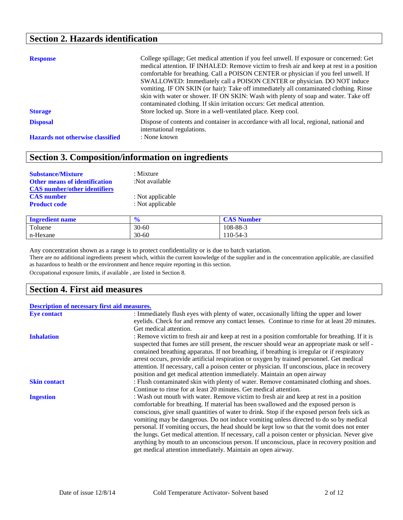## **Section 2. Hazards identification**

| <b>Response</b><br><b>Storage</b>       | College spillage; Get medical attention if you feel unwell. If exposure or concerned: Get<br>medical attention. IF INHALED: Remove victim to fresh air and keep at rest in a position<br>comfortable for breathing. Call a POISON CENTER or physician if you feel unwell. If<br>SWALLOWED: Immediately call a POISON CENTER or physician. DO NOT induce<br>vomiting. IF ON SKIN (or hair): Take off immediately all contaminated clothing. Rinse<br>skin with water or shower. IF ON SKIN: Wash with plenty of soap and water. Take off<br>contaminated clothing. If skin irritation occurs: Get medical attention.<br>Store locked up. Store in a well-ventilated place. Keep cool. |
|-----------------------------------------|--------------------------------------------------------------------------------------------------------------------------------------------------------------------------------------------------------------------------------------------------------------------------------------------------------------------------------------------------------------------------------------------------------------------------------------------------------------------------------------------------------------------------------------------------------------------------------------------------------------------------------------------------------------------------------------|
| <b>Disposal</b>                         | Dispose of contents and container in accordance with all local, regional, national and                                                                                                                                                                                                                                                                                                                                                                                                                                                                                                                                                                                               |
| <b>Hazards not otherwise classified</b> | international regulations.<br>: None known                                                                                                                                                                                                                                                                                                                                                                                                                                                                                                                                                                                                                                           |

# **Section 3. Composition/information on ingredients**

| <b>Substance/Mixture</b>             | $:$ Mixture      |
|--------------------------------------|------------------|
| <b>Other means of identification</b> | :Not available   |
| <b>CAS</b> number/other identifiers  |                  |
| <b>CAS</b> number                    | : Not applicable |
| <b>Product code</b>                  | : Not applicable |
|                                      |                  |

| <b>Ingredient name</b> | $\bullet$<br>70 | <b>CAS Number</b> |
|------------------------|-----------------|-------------------|
| Toluene                | $30 - 60$       | 108-88-3          |
| n-Hexane               | $30 - 60$       | 110-54-3          |

Any concentration shown as a range is to protect confidentiality or is due to batch variation.

There are no additional ingredients present which, within the current knowledge of the supplier and in the concentration applicable, are classified as hazardous to health or the environment and hence require reporting in this section.

Occupational exposure limits, if available , are listed in Section 8.

## **Section 4. First aid measures**

#### **Description of necessary first aid measures.**

| <b>Eye contact</b>  | : Immediately flush eyes with plenty of water, occasionally lifting the upper and lower                                                                                                                                                                                                                                                                                                                                                                                                                                                                                                                                                                                                                                            |
|---------------------|------------------------------------------------------------------------------------------------------------------------------------------------------------------------------------------------------------------------------------------------------------------------------------------------------------------------------------------------------------------------------------------------------------------------------------------------------------------------------------------------------------------------------------------------------------------------------------------------------------------------------------------------------------------------------------------------------------------------------------|
|                     | eyelids. Check for and remove any contact lenses. Continue to rinse for at least 20 minutes.                                                                                                                                                                                                                                                                                                                                                                                                                                                                                                                                                                                                                                       |
|                     | Get medical attention.                                                                                                                                                                                                                                                                                                                                                                                                                                                                                                                                                                                                                                                                                                             |
| <b>Inhalation</b>   | : Remove victim to fresh air and keep at rest in a position comfortable for breathing. If it is<br>suspected that fumes are still present, the rescuer should wear an appropriate mask or self -<br>contained breathing apparatus. If not breathing, if breathing is irregular or if respiratory<br>arrest occurs, provide artificial respiration or oxygen by trained personnel. Get medical                                                                                                                                                                                                                                                                                                                                      |
|                     | attention. If necessary, call a poison center or physician. If unconscious, place in recovery<br>position and get medical attention immediately. Maintain an open airway                                                                                                                                                                                                                                                                                                                                                                                                                                                                                                                                                           |
| <b>Skin contact</b> | : Flush contaminated skin with plenty of water. Remove contaminated clothing and shoes.                                                                                                                                                                                                                                                                                                                                                                                                                                                                                                                                                                                                                                            |
|                     | Continue to rinse for at least 20 minutes. Get medical attention.                                                                                                                                                                                                                                                                                                                                                                                                                                                                                                                                                                                                                                                                  |
| <b>Ingestion</b>    | : Wash out mouth with water. Remove victim to fresh air and keep at rest in a position<br>comfortable for breathing. If material has been swallowed and the exposed person is<br>conscious, give small quantities of water to drink. Stop if the exposed person feels sick as<br>vomiting may be dangerous. Do not induce vomiting unless directed to do so by medical<br>personal. If vomiting occurs, the head should be kept low so that the vomit does not enter<br>the lungs. Get medical attention. If necessary, call a poison center or physician. Never give<br>anything by mouth to an unconscious person. If unconscious, place in recovery position and<br>get medical attention immediately. Maintain an open airway. |
|                     |                                                                                                                                                                                                                                                                                                                                                                                                                                                                                                                                                                                                                                                                                                                                    |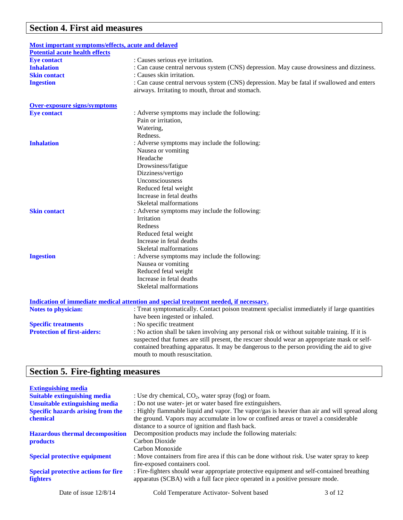# **Section 4. First aid measures**

| <u>Most important symptoms/effects, acute and delayed</u> |                                                                                               |
|-----------------------------------------------------------|-----------------------------------------------------------------------------------------------|
| <b>Potential acute health effects</b>                     |                                                                                               |
| <b>Eye contact</b>                                        | : Causes serious eye irritation.                                                              |
| <b>Inhalation</b>                                         | : Can cause central nervous system (CNS) depression. May cause drowsiness and dizziness.      |
| <b>Skin contact</b>                                       | : Causes skin irritation.                                                                     |
| <b>Ingestion</b>                                          | : Can cause central nervous system (CNS) depression. May be fatal if swallowed and enters     |
|                                                           | airways. Irritating to mouth, throat and stomach.                                             |
| <b>Over-exposure signs/symptoms</b>                       |                                                                                               |
| <b>Eye contact</b>                                        | : Adverse symptoms may include the following:                                                 |
|                                                           | Pain or irritation,                                                                           |
|                                                           | Watering,                                                                                     |
|                                                           | Redness.                                                                                      |
| <b>Inhalation</b>                                         | : Adverse symptoms may include the following:                                                 |
|                                                           | Nausea or vomiting                                                                            |
|                                                           | Headache                                                                                      |
|                                                           | Drowsiness/fatigue                                                                            |
|                                                           | Dizziness/vertigo                                                                             |
|                                                           | Unconsciousness                                                                               |
|                                                           | Reduced fetal weight                                                                          |
|                                                           | Increase in fetal deaths                                                                      |
|                                                           | Skeletal malformations                                                                        |
| <b>Skin contact</b>                                       | : Adverse symptoms may include the following:                                                 |
|                                                           | Irritation                                                                                    |
|                                                           | Redness                                                                                       |
|                                                           | Reduced fetal weight                                                                          |
|                                                           | Increase in fetal deaths                                                                      |
|                                                           | Skeletal malformations                                                                        |
| <b>Ingestion</b>                                          | : Adverse symptoms may include the following:                                                 |
|                                                           | Nausea or vomiting                                                                            |
|                                                           | Reduced fetal weight                                                                          |
|                                                           | Increase in fetal deaths                                                                      |
|                                                           | Skeletal malformations                                                                        |
|                                                           |                                                                                               |
|                                                           | Indication of immediate medical attention and special treatment needed, if necessary.         |
| <b>Notes to physician:</b>                                | : Treat symptomatically. Contact poison treatment specialist immediately if large quantities  |
|                                                           | have been ingested or inhaled.                                                                |
| <b>Specific treatments</b>                                | : No specific treatment                                                                       |
| <b>Protection of first-aiders:</b>                        | : No action shall be taken involving any personal risk or without suitable training. If it is |
|                                                           | suspected that fumes are still present, the rescuer should wear an appropriate mask or self-  |
|                                                           | contained breathing apparatus. It may be dangerous to the person providing the aid to give    |
|                                                           | mouth to mouth resuscitation.                                                                 |

# **Section 5. Fire-fighting measures**

| <b>Extinguishing media</b>                 |                                                                                              |         |
|--------------------------------------------|----------------------------------------------------------------------------------------------|---------|
| <b>Suitable extinguishing media</b>        | : Use dry chemical, $CO_2$ , water spray (fog) or foam.                                      |         |
| Unsuitable extinguishing media             | : Do not use water-jet or water based fire extinguishers.                                    |         |
| <b>Specific hazards arising from the</b>   | : Highly flammable liquid and vapor. The vapor/gas is heavier than air and will spread along |         |
| chemical                                   | the ground. Vapors may accumulate in low or confined areas or travel a considerable          |         |
|                                            | distance to a source of ignition and flash back.                                             |         |
| <b>Hazardous thermal decomposition</b>     | Decomposition products may include the following materials:                                  |         |
| <b>products</b>                            | Carbon Dioxide                                                                               |         |
|                                            | Carbon Monoxide                                                                              |         |
| <b>Special protective equipment</b>        | : Move containers from fire area if this can be done without risk. Use water spray to keep   |         |
|                                            | fire-exposed containers cool.                                                                |         |
| <b>Special protective actions for fire</b> | : Fire-fighters should wear appropriate protective equipment and self-contained breathing    |         |
| <b>fighters</b>                            | apparatus (SCBA) with a full face piece operated in a positive pressure mode.                |         |
| Date of issue $12/8/14$                    | Cold Temperature Activator- Solvent based                                                    | 3 of 12 |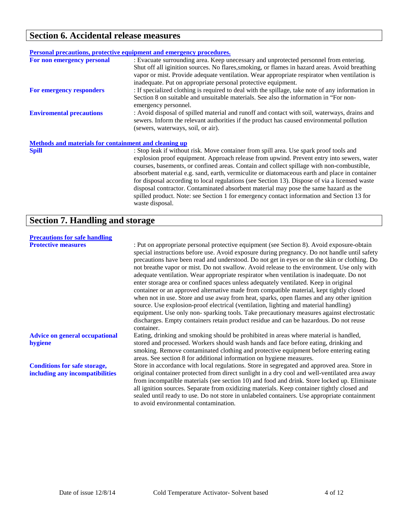## **Section 6. Accidental release measures**

|                                                       | Personal precautions, protective equipment and emergency procedures.                                                                                                                                                                                                                                                                                     |
|-------------------------------------------------------|----------------------------------------------------------------------------------------------------------------------------------------------------------------------------------------------------------------------------------------------------------------------------------------------------------------------------------------------------------|
| For non emergency personal                            | : Evacuate surrounding area. Keep unecessary and unprotected personnel from entering.<br>Shut off all iginition sources. No flares, smoking, or flames in hazard areas. Avoid breathing<br>vapor or mist. Provide adequate ventilation. Wear appropriate respirator when ventilation is<br>inadequate. Put on appropriate personal protective equipment. |
| For emergency responders                              | : If specialized clothing is required to deal with the spillage, take note of any information in<br>Section 8 on suitable and unsuitable materials. See also the information in "For non-<br>emergency personnel.                                                                                                                                        |
| <b>Enviromental precautions</b>                       | : Avoid disposal of spilled material and runoff and contact with soil, waterways, drains and<br>sewers. Inform the relevant authorities if the product has caused environmental pollution<br>(sewers, waterways, soil, or air).                                                                                                                          |
| Methods and materials for containment and cleaning up |                                                                                                                                                                                                                                                                                                                                                          |
| <b>Spill</b>                                          | : Stop leak if without risk. Move container from spill area. Use spark proof tools and<br>explosion proof equipment. Approach release from upwind. Prevent entry into sewers, water                                                                                                                                                                      |

courses, basements, or confined areas. Contain and collect spillage with non-combustible, absorbent material e.g. sand, earth, vermiculite or diatomaceous earth and place in container for disposal according to local regulations (see Section 13). Dispose of via a licensed waste disposal contractor. Contaminated absorbent material may pose the same hazard as the spilled product. Note: see Section 1 for emergency contact information and Section 13 for waste disposal.

## **Section 7. Handling and storage**

| <b>Precautions for safe handling</b>                                   |                                                                                                                                                                                                                                                                                                                                                                                                                                                                                                                                                                                                                                                                                                                                                                                                                                                                                                                                                                                                                                                                  |
|------------------------------------------------------------------------|------------------------------------------------------------------------------------------------------------------------------------------------------------------------------------------------------------------------------------------------------------------------------------------------------------------------------------------------------------------------------------------------------------------------------------------------------------------------------------------------------------------------------------------------------------------------------------------------------------------------------------------------------------------------------------------------------------------------------------------------------------------------------------------------------------------------------------------------------------------------------------------------------------------------------------------------------------------------------------------------------------------------------------------------------------------|
| <b>Protective measures</b>                                             | : Put on appropriate personal protective equipment (see Section 8). Avoid exposure-obtain<br>special instructions before use. Avoid exposure during pregnancy. Do not handle until safety<br>precautions have been read and understood. Do not get in eyes or on the skin or clothing. Do<br>not breathe vapor or mist. Do not swallow. Avoid release to the environment. Use only with<br>adequate ventilation. Wear appropriate respirator when ventilation is inadequate. Do not<br>enter storage area or confined spaces unless adequately ventilated. Keep in original<br>container or an approved alternative made from compatible material, kept tightly closed<br>when not in use. Store and use away from heat, sparks, open flames and any other ignition<br>source. Use explosion-proof electrical (ventilation, lighting and material handling)<br>equipment. Use only non-sparking tools. Take precautionary measures against electrostatic<br>discharges. Empty containers retain product residue and can be hazardous. Do not reuse<br>container. |
| <b>Advice on general occupational</b><br>hygiene                       | Eating, drinking and smoking should be prohibited in areas where material is handled,<br>stored and processed. Workers should wash hands and face before eating, drinking and<br>smoking. Remove contaminated clothing and protective equipment before entering eating<br>areas. See section 8 for additional information on hygiene measures.                                                                                                                                                                                                                                                                                                                                                                                                                                                                                                                                                                                                                                                                                                                   |
| <b>Conditions for safe storage,</b><br>including any incompatibilities | Store in accordance with local regulations. Store in segregated and approved area. Store in<br>original container protected from direct sunlight in a dry cool and well-ventilated area away<br>from incompatible materials (see section 10) and food and drink. Store locked up. Eliminate<br>all ignition sources. Separate from oxidizing materials. Keep container tightly closed and<br>sealed until ready to use. Do not store in unlabeled containers. Use appropriate containment<br>to avoid environmental contamination.                                                                                                                                                                                                                                                                                                                                                                                                                                                                                                                               |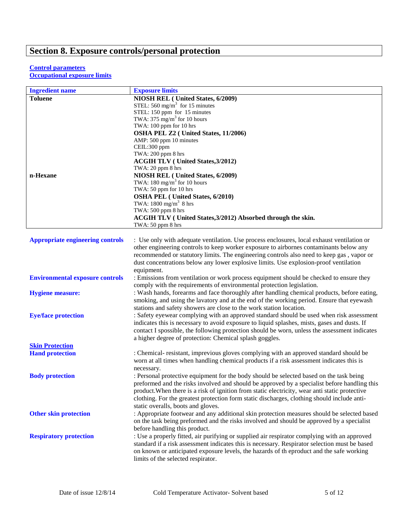# **Section 8. Exposure controls/personal protection**

#### **Control parameters Occupational exposure limits**

| <b>Ingredient name</b>                  | <b>Exposure limits</b>                                                                         |
|-----------------------------------------|------------------------------------------------------------------------------------------------|
| <b>Toluene</b>                          | NIOSH REL (United States, 6/2009)                                                              |
|                                         | STEL: 560 mg/m <sup>3</sup> for 15 minutes                                                     |
|                                         | STEL: 150 ppm for 15 minutes                                                                   |
|                                         | TWA: 375 mg/m <sup>3</sup> for 10 hours                                                        |
|                                         | TWA: 100 ppm for 10 hrs                                                                        |
|                                         | OSHA PEL Z2 (United States, 11/2006)                                                           |
|                                         | AMP: 500 ppm 10 minutes                                                                        |
|                                         | CEIL:300 ppm<br>TWA: 200 ppm 8 hrs                                                             |
|                                         | <b>ACGIH TLV ( United States, 3/2012)</b>                                                      |
|                                         | TWA: 20 ppm 8 hrs                                                                              |
| n-Hexane                                | NIOSH REL (United States, 6/2009)                                                              |
|                                         | TWA: $180 \text{ mg/m}^3$ for 10 hours                                                         |
|                                         | TWA: 50 ppm for 10 hrs                                                                         |
|                                         | <b>OSHA PEL</b> (United States, 6/2010)                                                        |
|                                         | TWA: $1800 \text{ mg/m}^3$ 8 hrs                                                               |
|                                         | TWA: 500 ppm 8 hrs                                                                             |
|                                         | ACGIH TLV (United States, 3/2012) Absorbed through the skin.                                   |
|                                         | TWA: 50 ppm 8 hrs                                                                              |
|                                         |                                                                                                |
| <b>Appropriate engineering controls</b> | : Use only with adequate ventilation. Use process enclosures, local exhaust ventilation or     |
|                                         | other engineering controls to keep worker exposure to airbornes contaminants below any         |
|                                         | recommended or statutory limits. The engineering controls also need to keep gas, vapor or      |
|                                         | dust concentrations below any lower explosive limits. Use explosion-proof ventilation          |
|                                         | equipment.                                                                                     |
| <b>Environmental exposure controls</b>  | : Emissions from ventilation or work process equipment should be checked to ensure they        |
|                                         | comply with the requirements of environmental protection legislation.                          |
| <b>Hygiene measure:</b>                 | : Wash hands, forearms and face thoroughly after handling chemical products, before eating,    |
|                                         | smoking, and using the lavatory and at the end of the working period. Ensure that eyewash      |
|                                         | stations and safety showers are close to the work station location.                            |
| <b>Eye/face protection</b>              | : Safety eyewear complying with an approved standard should be used when risk assessment       |
|                                         | indicates this is necessary to avoid exposure to liquid splashes, mists, gases and dusts. If   |
|                                         | contact I spossible, the following protection should be worn, unless the assessment indicates  |
|                                         | a higher degree of protection: Chemical splash goggles.                                        |
| <b>Skin Protection</b>                  |                                                                                                |
| <b>Hand protection</b>                  | : Chemical-resistant, imprevious gloves complying with an approved standard should be          |
|                                         | worn at all times when handling chemical products if a risk assessment indicates this is       |
|                                         | necessary.                                                                                     |
| <b>Body protection</b>                  | : Personal protective equipment for the body should be selected based on the task being        |
|                                         | preformed and the risks involved and should be approved by a specialist before handling this   |
|                                         | product. When there is a risk of ignition from static electricity, wear anti static protective |
|                                         | clothing. For the greatest protection form static discharges, clothing should include anti-    |
|                                         | static overalls, boots and gloves.                                                             |
| <b>Other skin protection</b>            | : Appropriate footwear and any additional skin protection measures should be selected based    |
|                                         | on the task being preformed and the risks involved and should be approved by a specialist      |
|                                         | before handling this product.                                                                  |
| <b>Respiratory protection</b>           | : Use a properly fitted, air purifying or supplied air respirator complying with an approved   |
|                                         | standard if a risk assessment indicates this is necessary. Respirator selection must be based  |
|                                         | on known or anticipated exposure levels, the hazards of the product and the safe working       |
|                                         | limits of the selected respirator.                                                             |
|                                         |                                                                                                |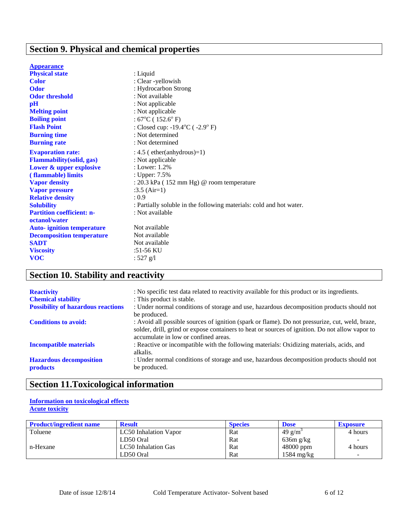# **Section 9. Physical and chemical properties**

| <b>Appearance</b>                 |                                                                     |
|-----------------------------------|---------------------------------------------------------------------|
| <b>Physical state</b>             | : Liquid                                                            |
| <b>Color</b>                      | : Clear -yellowish                                                  |
| <b>Odor</b>                       | : Hydrocarbon Strong                                                |
| <b>Odor threshold</b>             | : Not available                                                     |
| pH                                | : Not applicable                                                    |
| <b>Melting point</b>              | : Not applicable                                                    |
| <b>Boiling point</b>              | : $67^{\circ}$ C (152.6 $^{\circ}$ F)                               |
| <b>Flash Point</b>                | : Closed cup: $-19.4^{\circ}$ C ( $-2.9^{\circ}$ F)                 |
| <b>Burning time</b>               | : Not determined                                                    |
| <b>Burning rate</b>               | : Not determined                                                    |
| <b>Evaporation rate:</b>          | $: 4.5$ (ether(anhydrous)=1)                                        |
| <b>Flammability</b> (solid, gas)  | : Not applicable                                                    |
| Lower & upper explosive           | : Lower: $1.2\%$                                                    |
| (flammable) limits                | : Upper: 7.5%                                                       |
| <b>Vapor density</b>              | : $20.3$ kPa (152 mm Hg) @ room temperature                         |
| <b>Vapor pressure</b>             | $:3.5$ (Air=1)                                                      |
| <b>Relative density</b>           | : 0.9                                                               |
| <b>Solubility</b>                 | : Partially soluble in the following materials: cold and hot water. |
| <b>Partition coefficient: n-</b>  | : Not available                                                     |
| octanol/water                     |                                                                     |
| <b>Auto-</b> ignition temperature | Not available                                                       |
| <b>Decomposition temperature</b>  | Not available                                                       |
| <b>SADT</b>                       | Not available                                                       |
| <b>Viscosity</b>                  | :51-56 KU                                                           |
| <b>VOC</b>                        | : $527$ g/l                                                         |

# **Section 10. Stability and reactivity**

| <b>Reactivity</b><br><b>Chemical stability</b>    | : No specific test data related to reactivity available for this product or its ingredients.<br>: This product is stable.                                                                                                                  |
|---------------------------------------------------|--------------------------------------------------------------------------------------------------------------------------------------------------------------------------------------------------------------------------------------------|
| <b>Possibility of hazardous reactions</b>         | : Under normal conditions of storage and use, hazardous decomposition products should not<br>be produced.                                                                                                                                  |
| <b>Conditions to avoid:</b>                       | : Avoid all possible sources of ignition (spark or flame). Do not pressurize, cut, weld, braze,<br>solder, drill, grind or expose containers to heat or sources of ignition. Do not allow vapor to<br>accumulate in low or confined areas. |
| <b>Incompatible materials</b>                     | : Reactive or incompatible with the following materials: Oxidizing materials, acids, and<br>alkalis.                                                                                                                                       |
| <b>Hazardous decomposition</b><br><b>products</b> | : Under normal conditions of storage and use, hazardous decomposition products should not<br>be produced.                                                                                                                                  |

# **Section 11.Toxicological information**

### **Information on toxicological effects Acute toxicity**

| <b>Product/ingredient name</b> | <b>Result</b>         | <b>Species</b> | <b>Dose</b>         | <b>Exposure</b>          |
|--------------------------------|-----------------------|----------------|---------------------|--------------------------|
| Toluene                        | LC50 Inhalation Vapor | Rat            | 49 g/m <sup>3</sup> | 4 hours                  |
|                                | LD50 Oral             | Rat            | 636m g/kg           | $\overline{\phantom{a}}$ |
| n-Hexane                       | LC50 Inhalation Gas   | Rat            | 48000 ppm           | 4 hours                  |
|                                | LD50 Oral             | Rat            | $1584$ mg/kg        | $\overline{\phantom{a}}$ |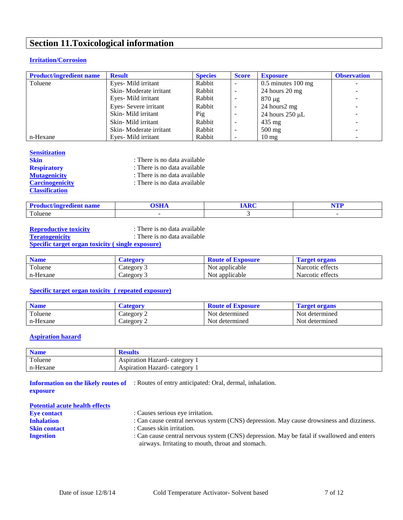# **Section 11.Toxicological information**

### **Irritation/Corrosion**

| <b>Product/ingredient name</b> | <b>Result</b>          | <b>Species</b> | <b>Score</b>             | <b>Exposure</b>      | <b>Observation</b> |
|--------------------------------|------------------------|----------------|--------------------------|----------------------|--------------------|
| Toluene                        | Eyes-Mild irritant     | Rabbit         | $\overline{\phantom{a}}$ | $0.5$ minutes 100 mg |                    |
|                                | Skin-Moderate irritant | Rabbit         | $\overline{\phantom{a}}$ | $24$ hours $20$ mg   |                    |
|                                | Eyes-Mild irritant     | Rabbit         | -                        | $870 \mu g$          | -                  |
|                                | Eyes-Severe irritant   | Rabbit         | $\overline{\phantom{a}}$ | 24 hours2 mg         | ۰.                 |
|                                | Skin-Mild irritant     | Pig            |                          | 24 hours $250 \mu L$ | -                  |
|                                | Skin-Mild irritant     | Rabbit         | $\overline{\phantom{0}}$ | $435 \text{ mg}$     | ۰.                 |
|                                | Skin-Moderate irritant | Rabbit         | $\overline{\phantom{a}}$ | $500 \text{ mg}$     | $=$                |
| n-Hexane                       | Eves-Mild irritant     | Rabbit         | $\overline{\phantom{a}}$ | $10 \text{ mg}$      | ۰.                 |

#### **Sensitization**

| <b>Skin</b>            | : There is no data available |
|------------------------|------------------------------|
| <b>Respiratory</b>     | : There is no data available |
| <b>Mutagenicity</b>    | : There is no data available |
| <b>Carcinogenicity</b> | : There is no data available |
| <b>Classification</b>  |                              |

| roduct/ingredient name | $\sim$ $\sim$ $\sim$ | $\Delta$ Dec | TTD<br>. |
|------------------------|----------------------|--------------|----------|
| Toluene                |                      |              |          |

**Reproductive toxicity**<br> **Reproductive toxicity**<br> **Conserved Exercise :** There is no data available<br> **Conserved Exercise :** There is no data available **Teratogenicity** : There is no data available

#### **Specific target organ toxicity ( single exposure)**

| <b>Name</b> | Category   | <b>Route of Exposure</b> | l'arget organs   |
|-------------|------------|--------------------------|------------------|
| Toluene     | Category 3 | Not applicable           | Narcotic effects |
| n-Hexane    | Category   | Not applicable           | Narcotic effects |

### **Specific target organ toxicity ( repeated exposure)**

| <b>Name</b> | Category             | <b>Route of Exposure</b> | l'arget organs |
|-------------|----------------------|--------------------------|----------------|
| Toluene     | Category 2           | Not determined           | Not determined |
| n-Hexane    | $\therefore$ ategory | Not determined           | Not determined |

#### **Aspiration hazard**

| <b>Name</b> | <b>Results</b>                |
|-------------|-------------------------------|
| Toluene     | Aspiration Hazard- category 1 |
| n-Hexane    | Aspiration Hazard-category 1  |

**Information on the likely routes of**  : Routes of entry anticipated: Oral, dermal, inhalation. **exposure**

| <b>Potential acute health effects</b> |                                                                                                                                                |
|---------------------------------------|------------------------------------------------------------------------------------------------------------------------------------------------|
| <b>Eve contact</b>                    | : Causes serious eye irritation.                                                                                                               |
| <b>Inhalation</b>                     | : Can cause central nervous system (CNS) depression. May cause drowsiness and dizziness.                                                       |
| <b>Skin contact</b>                   | : Causes skin irritation.                                                                                                                      |
| <b>Ingestion</b>                      | : Can cause central nervous system (CNS) depression. May be fatal if swallowed and enters<br>airways. Irritating to mouth, throat and stomach. |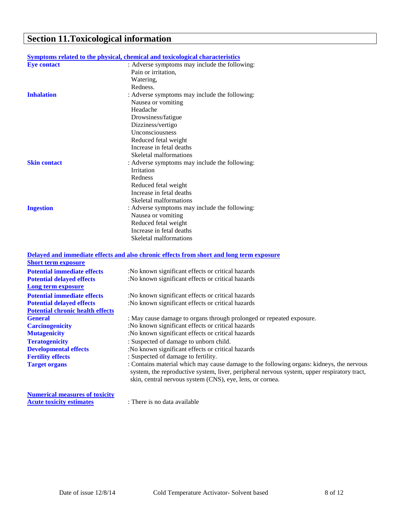# **Section 11.Toxicological information**

|                     | <u>Symptoms related to the physical, chemical and toxicological characteristics</u> |
|---------------------|-------------------------------------------------------------------------------------|
| <b>Eye contact</b>  | : Adverse symptoms may include the following:                                       |
|                     | Pain or irritation,                                                                 |
|                     | Watering,                                                                           |
|                     | Redness.                                                                            |
| <b>Inhalation</b>   | : Adverse symptoms may include the following:                                       |
|                     | Nausea or vomiting                                                                  |
|                     | Headache                                                                            |
|                     | Drowsiness/fatigue                                                                  |
|                     | Dizziness/vertigo                                                                   |
|                     | Unconsciousness                                                                     |
|                     | Reduced fetal weight                                                                |
|                     | Increase in fetal deaths                                                            |
|                     | Skeletal malformations                                                              |
| <b>Skin contact</b> | : Adverse symptoms may include the following:                                       |
|                     | <b>Irritation</b>                                                                   |
|                     | Redness                                                                             |
|                     | Reduced fetal weight                                                                |
|                     | Increase in fetal deaths                                                            |
|                     | Skeletal malformations                                                              |
| <b>Ingestion</b>    | : Adverse symptoms may include the following:                                       |
|                     | Nausea or vomiting                                                                  |
|                     | Reduced fetal weight                                                                |
|                     | Increase in fetal deaths                                                            |
|                     | Skeletal malformations                                                              |
|                     |                                                                                     |

| Delayed and immediate effects and also chronic effects from short and long term exposure                                                                                                                                                             |
|------------------------------------------------------------------------------------------------------------------------------------------------------------------------------------------------------------------------------------------------------|
|                                                                                                                                                                                                                                                      |
| :No known significant effects or critical hazards                                                                                                                                                                                                    |
| :No known significant effects or critical hazards                                                                                                                                                                                                    |
|                                                                                                                                                                                                                                                      |
| :No known significant effects or critical hazards                                                                                                                                                                                                    |
| :No known significant effects or critical hazards                                                                                                                                                                                                    |
|                                                                                                                                                                                                                                                      |
| : May cause damage to organs through prolonged or repeated exposure.                                                                                                                                                                                 |
| :No known significant effects or critical hazards                                                                                                                                                                                                    |
| :No known significant effects or critical hazards                                                                                                                                                                                                    |
| : Suspected of damage to unborn child.                                                                                                                                                                                                               |
| :No known significant effects or critical hazards                                                                                                                                                                                                    |
| : Suspected of damage to fertility.                                                                                                                                                                                                                  |
| : Contains material which may cause damage to the following organs: kidneys, the nervous<br>system, the reproductive system, liver, peripheral nervous system, upper respiratory tract,<br>skin, central nervous system (CNS), eye, lens, or cornea. |
|                                                                                                                                                                                                                                                      |

**Numerical measures of toxicity Acute toxicity estimates** : There is no data available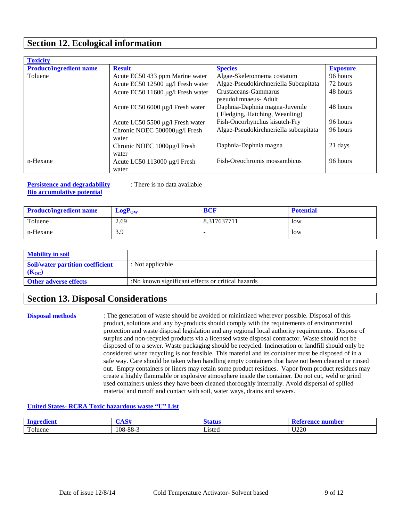## **Section 12. Ecological information**

| <b>Toxicity</b>                |                                   |                                       |                 |
|--------------------------------|-----------------------------------|---------------------------------------|-----------------|
| <b>Product/ingredient name</b> | <b>Result</b>                     | <b>Species</b>                        | <b>Exposure</b> |
| Toluene                        | Acute EC50 433 ppm Marine water   | Algae-Skeletonnema costatum           | 96 hours        |
|                                | Acute EC50 12500 µg/l Fresh water | Algae-Pseudokirchneriella Subcapitata | 72 hours        |
|                                | Acute EC50 11600 μg/l Fresh water | Crustaceans-Gammarus                  | 48 hours        |
|                                |                                   | pseudolimnaeus- Adult                 |                 |
|                                | Acute EC50 6000 µg/l Fresh water  | Daphnia-Daphnia magna-Juvenile        | 48 hours        |
|                                |                                   | (Fledging, Hatching, Weanling)        |                 |
|                                | Acute LC50 5500 µg/l Fresh water  | Fish-Oncorhynchus kisutch-Fry         | 96 hours        |
|                                | Chronic NOEC 500000µg/l Fresh     | Algae-Pseudokirchneriella subcapitata | 96 hours        |
|                                | water                             |                                       |                 |
|                                | Chronic NOEC 1000ug/l Fresh       | Daphnia-Daphnia magna                 | 21 days         |
|                                | water                             |                                       |                 |
| n-Hexane                       | Acute LC50 113000 $\mu$ g/l Fresh | Fish-Oreochromis mossambicus          | 96 hours        |
|                                | water                             |                                       |                 |

#### **Persistence and degradability** : There is no data available **Bio accumulative potential**

| <b>Product/ingredient name</b> | $LogP_{OW}$ | <b>BCF</b>  | <b>Potential</b> |
|--------------------------------|-------------|-------------|------------------|
| Toluene                        | 2.69        | 8.317637711 | low              |
| n-Hexane                       | 3.9         | -           | low              |

| <b>Mobility in soil</b>                 |                                                   |
|-----------------------------------------|---------------------------------------------------|
| <b>Soil/water partition coefficient</b> | : Not applicable                                  |
| $(K_{OC})$                              |                                                   |
| <b>Other adverse effects</b>            | :No known significant effects or critical hazards |

## **Section 13. Disposal Considerations**

**Disposal methods** : The generation of waste should be avoided or minimized wherever possible. Disposal of this product, solutions and any by-products should comply with the requirements of environmental protection and waste disposal legislation and any regional local authority requirements. Dispose of surplus and non-recycled products via a licensed waste disposal contractor. Waste should not be disposed of to a sewer. Waste packaging should be recycled. Incineration or landfill should only be considered when recycling is not feasible. This material and its container must be disposed of in a safe way. Care should be taken when handling empty containers that have not been cleaned or rinsed out. Empty containers or liners may retain some product residues. Vapor from product residues may create a highly flammable or explosive atmosphere inside the container. Do not cut, weld or grind used containers unless they have been cleaned thoroughly internally. Avoid dispersal of spilled material and runoff and contact with soil, water ways, drains and sewers.

### **United States- RCRA Toxic hazardous waste "U" List**

| :edient<br>-----<br>ш  | $\triangle$ $\triangle$ $\triangle$<br>w | -<br>1 J.U | number |
|------------------------|------------------------------------------|------------|--------|
| $\mathbf{r}$<br>oluene | 108-88-3                                 | Listed     | U220   |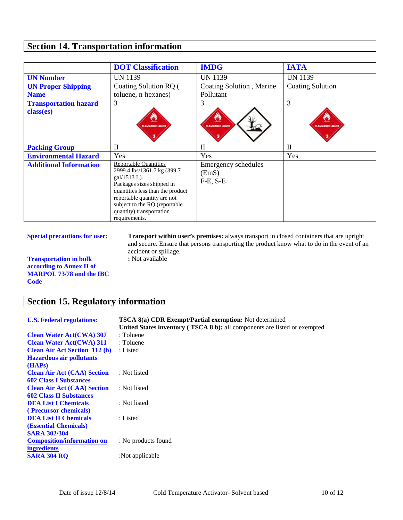# **Section 14. Transportation information**

|                                           | <b>DOT Classification</b>                                                                                                                                                                                                                                    | <b>IMDG</b>                                | <b>IATA</b>                  |
|-------------------------------------------|--------------------------------------------------------------------------------------------------------------------------------------------------------------------------------------------------------------------------------------------------------------|--------------------------------------------|------------------------------|
| <b>UN Number</b>                          | UN 1139                                                                                                                                                                                                                                                      | <b>UN 1139</b>                             | <b>UN 1139</b>               |
| <b>UN Proper Shipping</b>                 | Coating Solution RQ (                                                                                                                                                                                                                                        | Coating Solution, Marine                   | <b>Coating Solution</b>      |
| <b>Name</b>                               | toluene, n-hexanes)                                                                                                                                                                                                                                          | Pollutant                                  |                              |
| <b>Transportation hazard</b><br>class(es) | 3<br><b>FLAMMARLE LIQUID</b>                                                                                                                                                                                                                                 | 3<br><b>FLAMMARLE LIQUID</b>               | 3<br><b>FLAMMARLE LIQUID</b> |
| <b>Packing Group</b>                      | $\mathbf{I}$                                                                                                                                                                                                                                                 | $\mathbf{I}$                               | $\mathbf{I}$                 |
| <b>Environmental Hazard</b>               | Yes                                                                                                                                                                                                                                                          | Yes                                        | Yes                          |
| <b>Additional Information</b>             | <b>Reportable Quantities</b><br>2999.4 lbs/1361.7 kg (399.7<br>$gal/1513 L$ ).<br>Packages sizes shipped in<br>quantities less than the product<br>reportable quantity are not<br>subject to the RQ (reportable<br>quantity) transportation<br>requirements. | Emergency schedules<br>(EmS)<br>$F-E, S-E$ |                              |

**Transportation in bulk according to Annex II of MARPOL 73/78 and the IBC Code**

# **Section 15. Regulatory information**

| <b>U.S. Federal regulations:</b>     | <b>TSCA 8(a) CDR Exempt/Partial exemption:</b> Not determined             |
|--------------------------------------|---------------------------------------------------------------------------|
|                                      | United States inventory (TSCA 8 b): all components are listed or exempted |
| <b>Clean Water Act(CWA) 307</b>      | : Toluene                                                                 |
| <b>Clean Water Act(CWA) 311</b>      | : Toluene                                                                 |
| <b>Clean Air Act Section 112 (b)</b> | : Listed                                                                  |
| <b>Hazardous air pollutants</b>      |                                                                           |
| (HAPs)                               |                                                                           |
| <b>Clean Air Act (CAA) Section</b>   | : Not listed                                                              |
| <b>602 Class I Substances</b>        |                                                                           |
| <b>Clean Air Act (CAA) Section</b>   | : Not listed                                                              |
| <b>602 Class II Substances</b>       |                                                                           |
| <b>DEA List I Chemicals</b>          | : Not listed                                                              |
| (Precursor chemicals)                |                                                                           |
| <b>DEA List II Chemicals</b>         | : Listed                                                                  |
| (Essential Chemicals)                |                                                                           |
| <b>SARA 302/304</b>                  |                                                                           |
| <b>Composition/information on</b>    | : No products found                                                       |
| <i>ingredients</i>                   |                                                                           |
| <b>SARA 304 RO</b>                   | :Not applicable                                                           |

**Special precautions for user: Transport within user's premises:** always transport in closed containers that are upright and secure. Ensure that persons transporting the product know what to do in the event of an accident or spillage. **:** Not available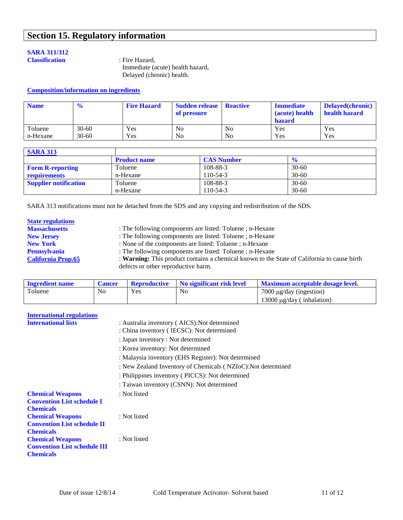# **Section 15. Regulatory information**

#### **SARA 311/312 Classification** : Fire Hazard,

 Immediate (acute) health hazard, Delayed (chronic) health.

#### **Composition/information on ingredients**

| <b>Name</b> | $\frac{1}{2}$ | <b>Fire Hazard</b> | <b>Sudden release</b> Reactive<br>of pressure |                | <b>Immediate</b><br>(acute) health<br>hazard | <b>Delayed</b> (chronic)<br>health hazard |
|-------------|---------------|--------------------|-----------------------------------------------|----------------|----------------------------------------------|-------------------------------------------|
| Toluene     | $30 - 60$     | Yes                | N <sub>0</sub>                                | N <sub>0</sub> | Yes                                          | Yes                                       |
| n-Hexane    | $30 - 60$     | Yes                | N <sub>0</sub>                                | N <sub>0</sub> | Yes                                          | Yes                                       |

| <b>SARA 313</b>              |                     |                   |               |
|------------------------------|---------------------|-------------------|---------------|
|                              | <b>Product name</b> | <b>CAS Number</b> | $\frac{6}{6}$ |
| <b>Form R-reporting</b>      | Toluene             | 108-88-3          | $30 - 60$     |
| requirements                 | n-Hexane            | 110-54-3          | $30 - 60$     |
| <b>Supplier notification</b> | Toluene             | 108-88-3          | $30 - 60$     |
|                              | n-Hexane            | 110-54-3          | $30 - 60$     |

SARA 313 notifications must not be detached from the SDS and any copying and redistribution of the SDS.

| <b>State regulations</b>  |                                                                                             |
|---------------------------|---------------------------------------------------------------------------------------------|
| <b>Massachusetts</b>      | : The following components are listed: Toluene; n-Hexane                                    |
| <b>New Jersey</b>         | : The following components are listed: Toluene; n-Hexane                                    |
| <b>New York</b>           | : None of the components are listed: Toluene; n-Hexane                                      |
| <b>Pennsylvania</b>       | : The following components are listed: Toluene; n-Hexane                                    |
| <b>California Prop.65</b> | : Warning: This product contains a chemical known to the State of California to cause birth |
|                           | defects or other reproductive harm.                                                         |

| <b>Ingredient name</b> | <b>Cancer</b> | <b>Reproductive</b> | No significant risk level | Maximum acceptable dosage level. |
|------------------------|---------------|---------------------|---------------------------|----------------------------------|
| Toluene                | No            | Yes                 | No                        | $7000 \mu g/day$ (ingestion)     |
|                        |               |                     |                           | 13000 $\mu$ g/day (inhalation)   |

| <b>International regulations</b>                                                   |                                                                                           |  |  |
|------------------------------------------------------------------------------------|-------------------------------------------------------------------------------------------|--|--|
| <b>International lists</b>                                                         | : Australia inventory (AICS): Not determined<br>: China inventory (IECSC): Not determined |  |  |
|                                                                                    | : Japan inventory : Not determined                                                        |  |  |
|                                                                                    | : Korea inventory: Not determined                                                         |  |  |
|                                                                                    | : Malaysia inventory (EHS Register): Not determined                                       |  |  |
|                                                                                    | : New Zealand Inventory of Chemicals (NZIoC): Not determined                              |  |  |
|                                                                                    | : Philippines inventory (PICCS): Not determined                                           |  |  |
|                                                                                    | : Taiwan inventory (CSNN): Not determined                                                 |  |  |
| <b>Chemical Weapons</b><br><b>Convention List schedule I</b><br><b>Chemicals</b>   | : Not listed                                                                              |  |  |
| <b>Chemical Weapons</b><br><b>Convention List schedule II</b><br><b>Chemicals</b>  | : Not listed                                                                              |  |  |
| <b>Chemical Weapons</b><br><b>Convention List schedule III</b><br><b>Chemicals</b> | : Not listed                                                                              |  |  |